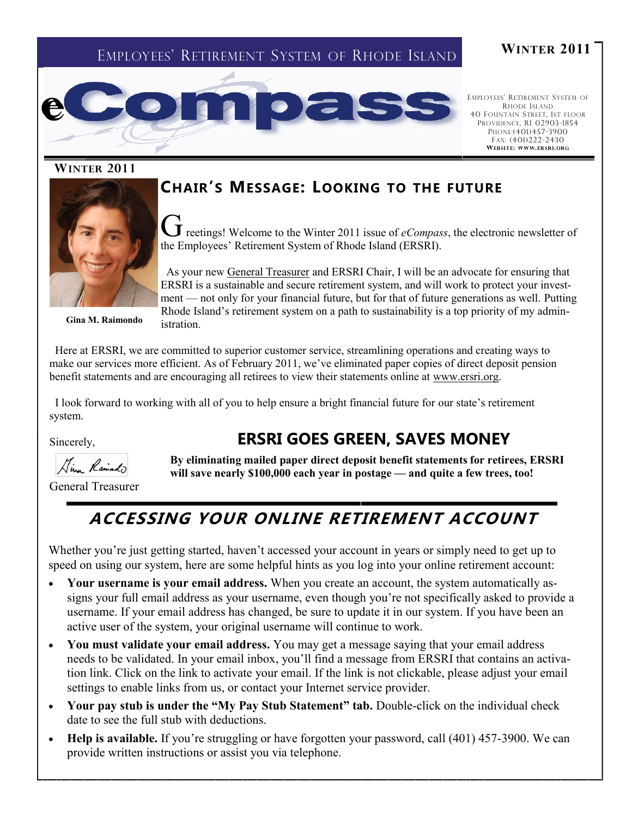# EMPLOYEES' RETIREMENT SYSTEM OF RHODE ISLAND **<sup>W</sup>INTER <sup>2011</sup>**



EMPLOYEES' RETIREMENT SYSTEM OF RHODE ISLAND 40 FOUNTAIN STREET, 1ST FLOOR PROVIDENCE, RI 02903-1854 PHONE:(401)457-3900 FAX: (401)222-2430 **WEB SITE: WWW.ER SRI.ORG**

#### **WINTER 2011**





Greetings! Welcome to the Winter 2011 issue of *eCompass*, the electronic newsletter of the Employees' Retirement System of Rhode Island (ERSRI).

**Gina M. Raimondo**

 As your new [General Treasurer](http://www.treasury.ri.gov/) and ERSRI Chair, I will be an advocate for ensuring that ERSRI is a sustainable and secure retirement system, and will work to protect your investment — not only for your financial future, but for that of future generations as well. Putting Rhode Island's retirement system on a path to sustainability is a top priority of my administration.

 Here at ERSRI, we are committed to superior customer service, streamlining operations and creating ways to make our services more efficient. As of February 2011, we've eliminated paper copies of direct deposit pension benefit statements and are encouraging all retirees to view their statements online at [www.ersri.org.](http://www.ersri.org)

 I look forward to working with all of you to help ensure a bright financial future for our state's retirement system.

Sincerely,

Kim Rainado

**By eliminating mailed paper direct deposit benefit statements for retirees, ERSRI will save nearly \$100,000 each year in postage — and quite a few trees, too!**

**ERSRI GOES GREEN, SAVES MONEY**

General Treasurer

# **ACCESSING YOUR ONLINE RETIREMENT ACCOUNT**

Whether you're just getting started, haven't accessed your account in years or simply need to get up to speed on using our system, here are some helpful hints as you log into your online retirement account:

- **Your username is your email address.** When you create an account, the system automatically assigns your full email address as your username, even though you're not specifically asked to provide a username. If your email address has changed, be sure to update it in our system. If you have been an active user of the system, your original username will continue to work.
- **You must validate your email address.** You may get a message saying that your email address needs to be validated. In your email inbox, you'll find a message from ERSRI that contains an activation link. Click on the link to activate your email. If the link is not clickable, please adjust your email settings to enable links from us, or contact your Internet service provider.
- Your pay stub is under the "My Pay Stub Statement" tab. Double-click on the individual check date to see the full stub with deductions.
- **Help is available.** If you're struggling or have forgotten your password, call (401) 457-3900. We can provide written instructions or assist you via telephone.